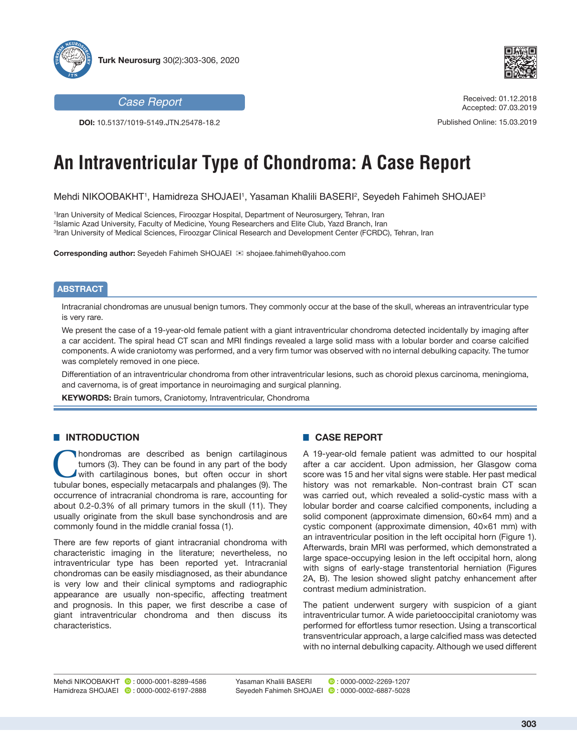



*Case Report*

**DOI:** 10.5137/1019-5149.JTN.25478-18.2

#### Received: 01.12.2018 Accepted: 07.03.2019

Published Online: 15.03.2019

# **An Intraventricular Type of Chondroma: A Case Report**

Mehdi NIKOOBAKHT1, Hamidreza SHOJAEI1, Yasaman Khalili BASERI<del>?</del>, Seyedeh Fahimeh SHOJAEI<sup>3</sup>

1 Iran University of Medical Sciences, Firoozgar Hospital, Department of Neurosurgery, Tehran, Iran 2 Islamic Azad University, Faculty of Medicine, Young Researchers and Elite Club, Yazd Branch, Iran 3 Iran University of Medical Sciences, Firoozgar Clinical Research and Development Center (FCRDC), Tehran, Iran

**Corresponding author:** Seyedeh Fahimeh SHOJAEI <sub>≥</sub> shojaee.fahimeh@yahoo.com

#### **ABSTRACT**

Intracranial chondromas are unusual benign tumors. They commonly occur at the base of the skull, whereas an intraventricular type is very rare.

We present the case of a 19-year-old female patient with a giant intraventricular chondroma detected incidentally by imaging after a car accident. The spiral head CT scan and MRI findings revealed a large solid mass with a lobular border and coarse calcified components. A wide craniotomy was performed, and a very firm tumor was observed with no internal debulking capacity. The tumor was completely removed in one piece.

Differentiation of an intraventricular chondroma from other intraventricular lesions, such as choroid plexus carcinoma, meningioma, and cavernoma, is of great importance in neuroimaging and surgical planning.

**KEYWORDS:** Brain tumors, Craniotomy, Intraventricular, Chondroma

### **E INTRODUCTION**

**C**hondromas are described as benign cartilaginous<br>
tumors (3). They can be found in any part of the body<br>
with cartilaginous bones, but often occur in short<br>
tubular bones especially matecarpals and phalanges (9). The tumors (3). They can be found in any part of the body tubular bones, especially metacarpals and phalanges (9). The occurrence of intracranial chondroma is rare, accounting for about 0.2-0.3% of all primary tumors in the skull (11). They usually originate from the skull base synchondrosis and are commonly found in the middle cranial fossa (1).

There are few reports of giant intracranial chondroma with characteristic imaging in the literature; nevertheless, no intraventricular type has been reported yet. Intracranial chondromas can be easily misdiagnosed, as their abundance is very low and their clinical symptoms and radiographic appearance are usually non-specific, affecting treatment and prognosis. In this paper, we first describe a case of giant intraventricular chondroma and then discuss its characteristics.

## █ **CASE REPORT**

A 19-year-old female patient was admitted to our hospital after a car accident. Upon admission, her Glasgow coma score was 15 and her vital signs were stable. Her past medical history was not remarkable. Non-contrast brain CT scan was carried out, which revealed a solid-cystic mass with a lobular border and coarse calcified components, including a solid component (approximate dimension, 60×64 mm) and a cystic component (approximate dimension, 40×61 mm) with an intraventricular position in the left occipital horn (Figure 1). Afterwards, brain MRI was performed, which demonstrated a large space-occupying lesion in the left occipital horn, along with signs of early-stage transtentorial herniation (Figures 2A, B). The lesion showed slight patchy enhancement after contrast medium administration.

The patient underwent surgery with suspicion of a giant intraventricular tumor. A wide parietooccipital craniotomy was performed for effortless tumor resection. Using a transcortical transventricular approach, a large calcified mass was detected with no internal debulking capacity. Although we used different

Yasaman Khalili BASERI 0: 0000-0002-2269-1207 SeyedehFahimeh SHOJAEI **D**: 0000-0002-6887-5028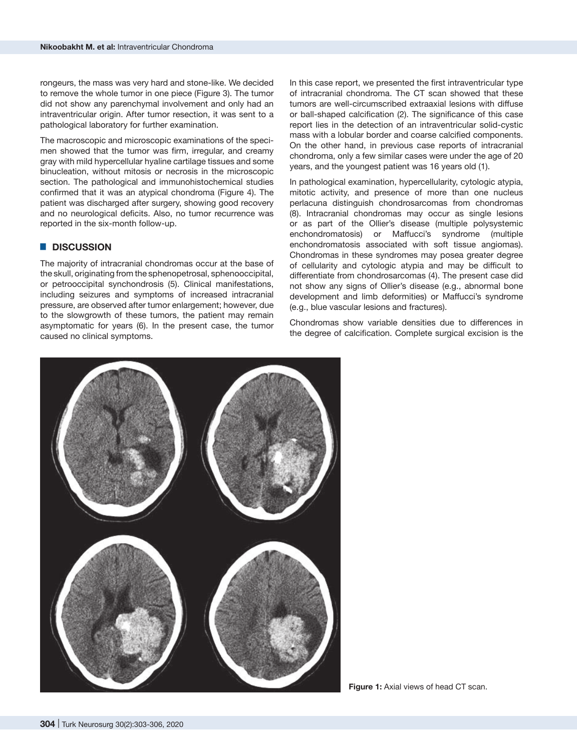rongeurs, the mass was very hard and stone-like. We decided to remove the whole tumor in one piece (Figure 3). The tumor did not show any parenchymal involvement and only had an intraventricular origin. After tumor resection, it was sent to a pathological laboratory for further examination.

The macroscopic and microscopic examinations of the specimen showed that the tumor was firm, irregular, and creamy gray with mild hypercellular hyaline cartilage tissues and some binucleation, without mitosis or necrosis in the microscopic section. The pathological and immunohistochemical studies confirmed that it was an atypical chondroma (Figure 4). The patient was discharged after surgery, showing good recovery and no neurological deficits. Also, no tumor recurrence was reported in the six-month follow-up.

# █ **DISCUSSION**

The majority of intracranial chondromas occur at the base of the skull, originating from the sphenopetrosal, sphenooccipital, or petrooccipital synchondrosis (5). Clinical manifestations, including seizures and symptoms of increased intracranial pressure, are observed after tumor enlargement; however, due to the slowgrowth of these tumors, the patient may remain asymptomatic for years (6). In the present case, the tumor caused no clinical symptoms.

In this case report, we presented the first intraventricular type of intracranial chondroma. The CT scan showed that these tumors are well-circumscribed extraaxial lesions with diffuse or ball-shaped calcification (2). The significance of this case report lies in the detection of an intraventricular solid-cystic mass with a lobular border and coarse calcified components. On the other hand, in previous case reports of intracranial chondroma, only a few similar cases were under the age of 20 years, and the youngest patient was 16 years old (1).

In pathological examination, hypercellularity, cytologic atypia, mitotic activity, and presence of more than one nucleus perlacuna distinguish chondrosarcomas from chondromas (8). Intracranial chondromas may occur as single lesions or as part of the Ollier's disease (multiple polysystemic enchondromatosis) or Maffucci's syndrome (multiple enchondromatosis associated with soft tissue angiomas). Chondromas in these syndromes may posea greater degree of cellularity and cytologic atypia and may be difficult to differentiate from chondrosarcomas (4). The present case did not show any signs of Ollier's disease (e.g., abnormal bone development and limb deformities) or Maffucci's syndrome (e.g., blue vascular lesions and fractures).

Chondromas show variable densities due to differences in the degree of calcification. Complete surgical excision is the

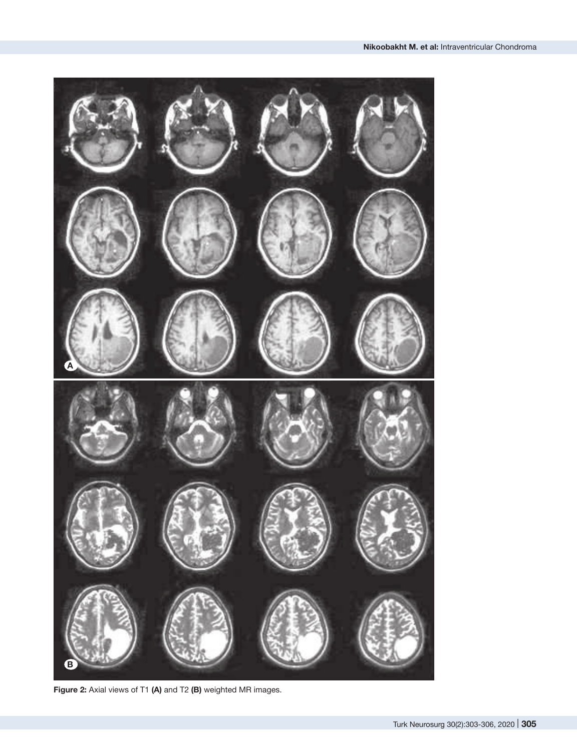

**Figure 2:** Axial views of T1 **(A)** and T2 **(B)** weighted MR images.